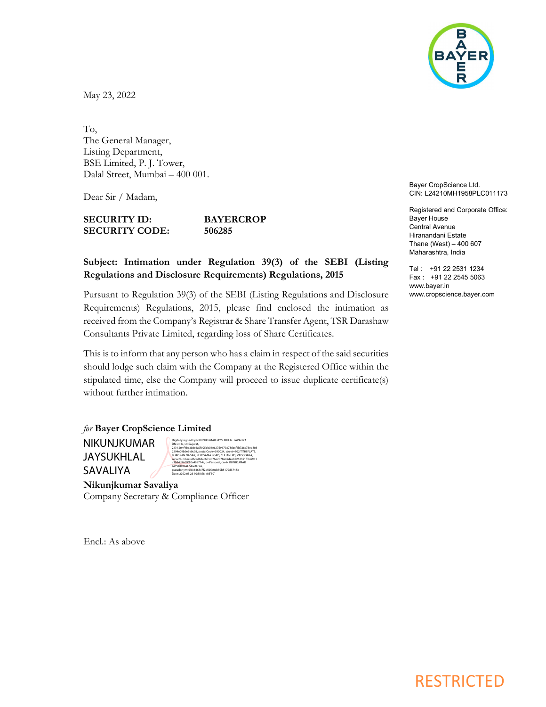

May 23, 2022

To, The General Manager, Listing Department, BSE Limited, P. J. Tower, Dalal Street, Mumbai – 400 001.

Dear Sir / Madam,

SECURITY ID: BAYERCROP SECURITY CODE: 506285

## Subject: Intimation under Regulation 39(3) of the SEBI (Listing Regulations and Disclosure Requirements) Regulations, 2015

Pursuant to Regulation 39(3) of the SEBI (Listing Regulations and Disclosure Requirements) Regulations, 2015, please find enclosed the intimation as received from the Company's Registrar & Share Transfer Agent, TSR Darashaw Consultants Private Limited, regarding loss of Share Certificates.

This is to inform that any person who has a claim in respect of the said securities should lodge such claim with the Company at the Registered Office within the stipulated time, else the Company will proceed to issue duplicate certificate(s) without further intimation.

for Bayer CropScience Limited NIKUNJKUMAR JAYSUKHLAL SAVALIYA Digitally signed by NIKUNJKUMAR JAYSUKHLAL SAVALIYA DN: c=IN, st=Gujarat, 1.<br>b6303c6a9fe<br>9e3e0c98.pos 2294e09b9e3e0c98, postalCode=390024, street=102 TITHI FLATS, BHADRAN NAGAR, NEW SAMA ROAD, CHHANI RD, VADODARA, serialNumber=d3cad62ac6fcdd76e7d78a49dee85262351ff6c69d1 c3b84d7669f10a495714a, o=Personal, cn=NIKUNJKUMAR JAYSUKHLAL SAVALIYA, pseudonym=edc1463c7f2e505c0cb80b5170d37433 Date: 2022.05.23 10:38:58 +05'30'

Nikunjkumar Savaliya Company Secretary & Compliance Officer

Encl.: As above

Bayer CropScience Ltd. CIN: L24210MH1958PLC011173

Registered and Corporate Office: Bayer House Central Avenue Hiranandani Estate Thane (West) – 400 607 Maharashtra, India

Tel : +91 22 2531 1234 Fax : +91 22 2545 5063 www.bayer.in www.cropscience.bayer.com

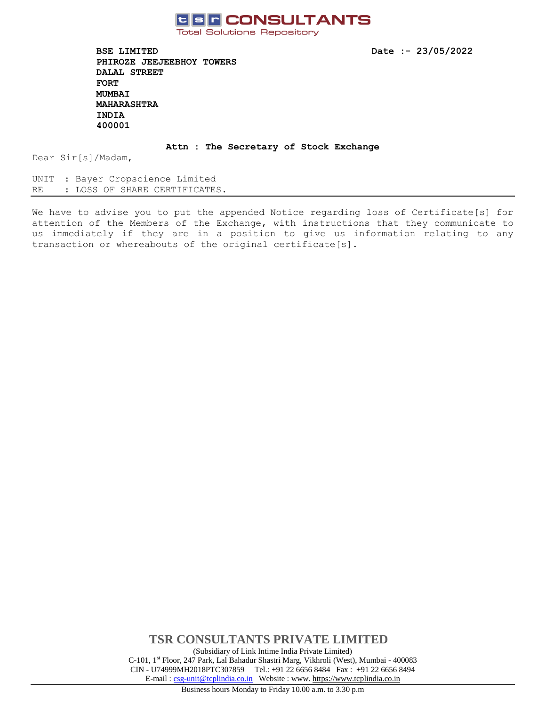

**Total Solutions Repository** 

**BSE LIMITED Date :- 23/05/2022 PHIROZE JEEJEEBHOY TOWERS DALAL STREET FORT MUMBAI MAHARASHTRA INDIA 400001** 

**Attn : The Secretary of Stock Exchange**

Dear Sir[s]/Madam,

UNIT : Bayer Cropscience Limited RE : LOSS OF SHARE CERTIFICATES.

We have to advise you to put the appended Notice regarding loss of Certificate[s] for attention of the Members of the Exchange, with instructions that they communicate to us immediately if they are in a position to give us information relating to any transaction or whereabouts of the original certificate[s].

> **TSR CONSULTANTS PRIVATE LIMITED** (Subsidiary of Link Intime India Private Limited) C-101, 1st Floor, 247 Park, Lal Bahadur Shastri Marg, Vikhroli (West), Mumbai - 400083 CIN - U74999MH2018PTC307859Tel.: +91 22 6656 8484 Fax : +91 22 6656 8494 E-mail [: csg-unit@tcplindia.co.in](mailto:csg-unit@tcplindia.co.in) Website : www. [https://www.tcplindia.co.in](http://www.tsrdarashaw.com/)

Business hours Monday to Friday 10.00 a.m. to 3.30 p.m